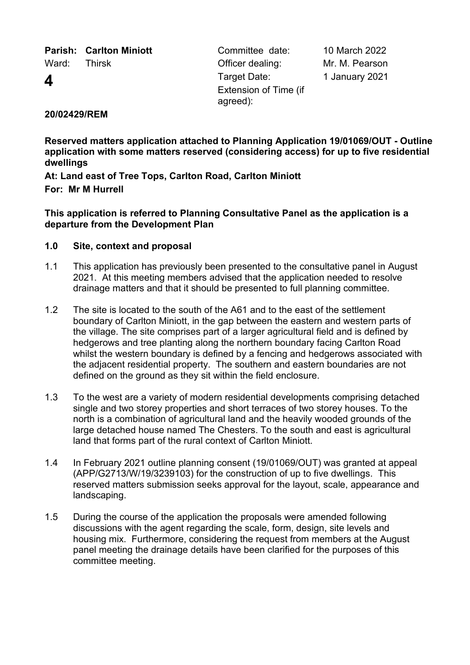**Parish: Carlton Miniott** Committee date: 10 March 2022

Ward: Thirsk Cfficer dealing: Mr. M. Pearson **4** Target Date: Extension of Time (if agreed):

1 January 2021

# **20/02429/REM**

**Reserved matters application attached to Planning Application 19/01069/OUT - Outline application with some matters reserved (considering access) for up to five residential dwellings**

**At: Land east of Tree Tops, Carlton Road, Carlton Miniott For: Mr M Hurrell**

**This application is referred to Planning Consultative Panel as the application is a departure from the Development Plan**

## **1.0 Site, context and proposal**

- 1.1 This application has previously been presented to the consultative panel in August 2021. At this meeting members advised that the application needed to resolve drainage matters and that it should be presented to full planning committee.
- 1.2 The site is located to the south of the A61 and to the east of the settlement boundary of Carlton Miniott, in the gap between the eastern and western parts of the village. The site comprises part of a larger agricultural field and is defined by hedgerows and tree planting along the northern boundary facing Carlton Road whilst the western boundary is defined by a fencing and hedgerows associated with the adjacent residential property. The southern and eastern boundaries are not defined on the ground as they sit within the field enclosure.
- 1.3 To the west are a variety of modern residential developments comprising detached single and two storey properties and short terraces of two storey houses. To the north is a combination of agricultural land and the heavily wooded grounds of the large detached house named The Chesters. To the south and east is agricultural land that forms part of the rural context of Carlton Miniott.
- 1.4 In February 2021 outline planning consent (19/01069/OUT) was granted at appeal (APP/G2713/W/19/3239103) for the construction of up to five dwellings. This reserved matters submission seeks approval for the layout, scale, appearance and landscaping.
- 1.5 During the course of the application the proposals were amended following discussions with the agent regarding the scale, form, design, site levels and housing mix. Furthermore, considering the request from members at the August panel meeting the drainage details have been clarified for the purposes of this committee meeting.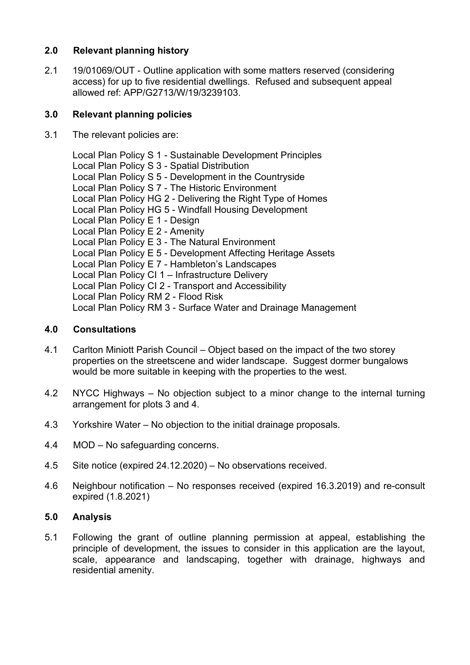## **2.0 Relevant planning history**

2.1 19/01069/OUT - Outline application with some matters reserved (considering access) for up to five residential dwellings. Refused and subsequent appeal allowed ref: APP/G2713/W/19/3239103.

## **3.0 Relevant planning policies**

3.1 The relevant policies are:

Local Plan Policy S 1 - Sustainable Development Principles Local Plan Policy S 3 - Spatial Distribution Local Plan Policy S 5 - Development in the Countryside Local Plan Policy S 7 - The Historic Environment Local Plan Policy HG 2 - Delivering the Right Type of Homes Local Plan Policy HG 5 - Windfall Housing Development Local Plan Policy E 1 - Design Local Plan Policy E 2 - Amenity Local Plan Policy E 3 - The Natural Environment Local Plan Policy E 5 - Development Affecting Heritage Assets Local Plan Policy E 7 - Hambleton's Landscapes Local Plan Policy CI 1 – Infrastructure Delivery Local Plan Policy CI 2 - Transport and Accessibility Local Plan Policy RM 2 - Flood Risk Local Plan Policy RM 3 - Surface Water and Drainage Management

## **4.0 Consultations**

- 4.1 Carlton Miniott Parish Council Object based on the impact of the two storey properties on the streetscene and wider landscape. Suggest dormer bungalows would be more suitable in keeping with the properties to the west.
- 4.2 NYCC Highways No objection subject to a minor change to the internal turning arrangement for plots 3 and 4.
- 4.3 Yorkshire Water No objection to the initial drainage proposals.
- 4.4 MOD No safeguarding concerns.
- 4.5 Site notice (expired 24.12.2020) No observations received.
- 4.6 Neighbour notification No responses received (expired 16.3.2019) and re-consult expired (1.8.2021)

### **5.0 Analysis**

5.1 Following the grant of outline planning permission at appeal, establishing the principle of development, the issues to consider in this application are the layout, scale, appearance and landscaping, together with drainage, highways and residential amenity.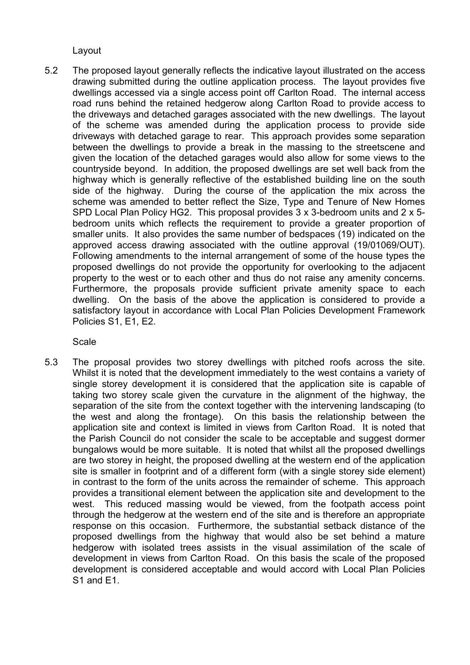Layout

5.2 The proposed layout generally reflects the indicative layout illustrated on the access drawing submitted during the outline application process. The layout provides five dwellings accessed via a single access point off Carlton Road. The internal access road runs behind the retained hedgerow along Carlton Road to provide access to the driveways and detached garages associated with the new dwellings. The layout of the scheme was amended during the application process to provide side driveways with detached garage to rear. This approach provides some separation between the dwellings to provide a break in the massing to the streetscene and given the location of the detached garages would also allow for some views to the countryside beyond. In addition, the proposed dwellings are set well back from the highway which is generally reflective of the established building line on the south side of the highway. During the course of the application the mix across the scheme was amended to better reflect the Size, Type and Tenure of New Homes SPD Local Plan Policy HG2. This proposal provides 3 x 3-bedroom units and 2 x 5 bedroom units which reflects the requirement to provide a greater proportion of smaller units. It also provides the same number of bedspaces (19) indicated on the approved access drawing associated with the outline approval (19/01069/OUT). Following amendments to the internal arrangement of some of the house types the proposed dwellings do not provide the opportunity for overlooking to the adjacent property to the west or to each other and thus do not raise any amenity concerns. Furthermore, the proposals provide sufficient private amenity space to each dwelling. On the basis of the above the application is considered to provide a satisfactory layout in accordance with Local Plan Policies Development Framework Policies S1, E1, E2.

Scale

5.3 The proposal provides two storey dwellings with pitched roofs across the site. Whilst it is noted that the development immediately to the west contains a variety of single storey development it is considered that the application site is capable of taking two storey scale given the curvature in the alignment of the highway, the separation of the site from the context together with the intervening landscaping (to the west and along the frontage). On this basis the relationship between the application site and context is limited in views from Carlton Road. It is noted that the Parish Council do not consider the scale to be acceptable and suggest dormer bungalows would be more suitable. It is noted that whilst all the proposed dwellings are two storey in height, the proposed dwelling at the western end of the application site is smaller in footprint and of a different form (with a single storey side element) in contrast to the form of the units across the remainder of scheme. This approach provides a transitional element between the application site and development to the west. This reduced massing would be viewed, from the footpath access point through the hedgerow at the western end of the site and is therefore an appropriate response on this occasion. Furthermore, the substantial setback distance of the proposed dwellings from the highway that would also be set behind a mature hedgerow with isolated trees assists in the visual assimilation of the scale of development in views from Carlton Road. On this basis the scale of the proposed development is considered acceptable and would accord with Local Plan Policies S1 and E1.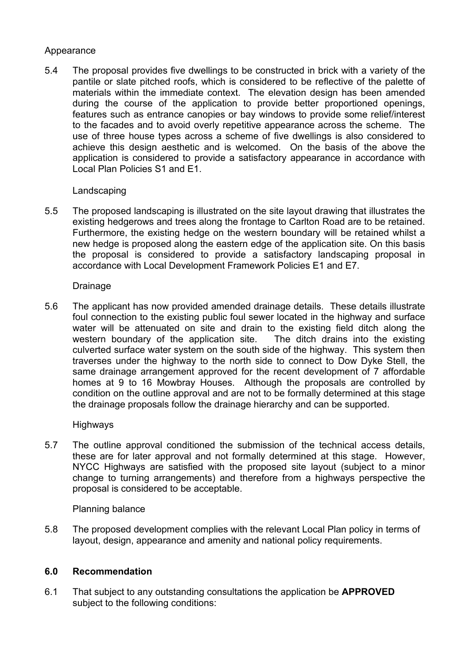## Appearance

5.4 The proposal provides five dwellings to be constructed in brick with a variety of the pantile or slate pitched roofs, which is considered to be reflective of the palette of materials within the immediate context. The elevation design has been amended during the course of the application to provide better proportioned openings, features such as entrance canopies or bay windows to provide some relief/interest to the facades and to avoid overly repetitive appearance across the scheme. The use of three house types across a scheme of five dwellings is also considered to achieve this design aesthetic and is welcomed. On the basis of the above the application is considered to provide a satisfactory appearance in accordance with Local Plan Policies S1 and E1.

## **Landscaping**

5.5 The proposed landscaping is illustrated on the site layout drawing that illustrates the existing hedgerows and trees along the frontage to Carlton Road are to be retained. Furthermore, the existing hedge on the western boundary will be retained whilst a new hedge is proposed along the eastern edge of the application site. On this basis the proposal is considered to provide a satisfactory landscaping proposal in accordance with Local Development Framework Policies E1 and E7.

### **Drainage**

5.6 The applicant has now provided amended drainage details. These details illustrate foul connection to the existing public foul sewer located in the highway and surface water will be attenuated on site and drain to the existing field ditch along the western boundary of the application site. The ditch drains into the existing culverted surface water system on the south side of the highway. This system then traverses under the highway to the north side to connect to Dow Dyke Stell, the same drainage arrangement approved for the recent development of 7 affordable homes at 9 to 16 Mowbray Houses. Although the proposals are controlled by condition on the outline approval and are not to be formally determined at this stage the drainage proposals follow the drainage hierarchy and can be supported.

### Highways

5.7 The outline approval conditioned the submission of the technical access details, these are for later approval and not formally determined at this stage. However, NYCC Highways are satisfied with the proposed site layout (subject to a minor change to turning arrangements) and therefore from a highways perspective the proposal is considered to be acceptable.

### Planning balance

5.8 The proposed development complies with the relevant Local Plan policy in terms of layout, design, appearance and amenity and national policy requirements.

### **6.0 Recommendation**

6.1 That subject to any outstanding consultations the application be **APPROVED** subject to the following conditions: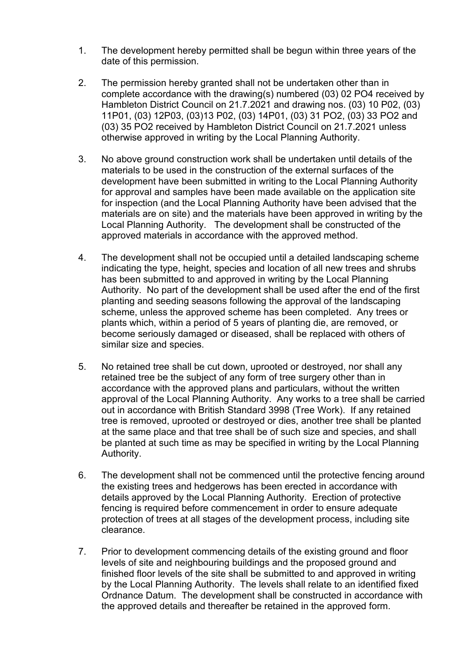- 1. The development hereby permitted shall be begun within three years of the date of this permission.
- 2. The permission hereby granted shall not be undertaken other than in complete accordance with the drawing(s) numbered (03) 02 PO4 received by Hambleton District Council on 21.7.2021 and drawing nos. (03) 10 P02, (03) 11P01, (03) 12P03, (03)13 P02, (03) 14P01, (03) 31 PO2, (03) 33 PO2 and (03) 35 PO2 received by Hambleton District Council on 21.7.2021 unless otherwise approved in writing by the Local Planning Authority.
- 3. No above ground construction work shall be undertaken until details of the materials to be used in the construction of the external surfaces of the development have been submitted in writing to the Local Planning Authority for approval and samples have been made available on the application site for inspection (and the Local Planning Authority have been advised that the materials are on site) and the materials have been approved in writing by the Local Planning Authority. The development shall be constructed of the approved materials in accordance with the approved method.
- 4. The development shall not be occupied until a detailed landscaping scheme indicating the type, height, species and location of all new trees and shrubs has been submitted to and approved in writing by the Local Planning Authority. No part of the development shall be used after the end of the first planting and seeding seasons following the approval of the landscaping scheme, unless the approved scheme has been completed. Any trees or plants which, within a period of 5 years of planting die, are removed, or become seriously damaged or diseased, shall be replaced with others of similar size and species.
- 5. No retained tree shall be cut down, uprooted or destroyed, nor shall any retained tree be the subject of any form of tree surgery other than in accordance with the approved plans and particulars, without the written approval of the Local Planning Authority. Any works to a tree shall be carried out in accordance with British Standard 3998 (Tree Work). If any retained tree is removed, uprooted or destroyed or dies, another tree shall be planted at the same place and that tree shall be of such size and species, and shall be planted at such time as may be specified in writing by the Local Planning Authority.
- 6. The development shall not be commenced until the protective fencing around the existing trees and hedgerows has been erected in accordance with details approved by the Local Planning Authority. Erection of protective fencing is required before commencement in order to ensure adequate protection of trees at all stages of the development process, including site clearance.
- 7. Prior to development commencing details of the existing ground and floor levels of site and neighbouring buildings and the proposed ground and finished floor levels of the site shall be submitted to and approved in writing by the Local Planning Authority. The levels shall relate to an identified fixed Ordnance Datum. The development shall be constructed in accordance with the approved details and thereafter be retained in the approved form.